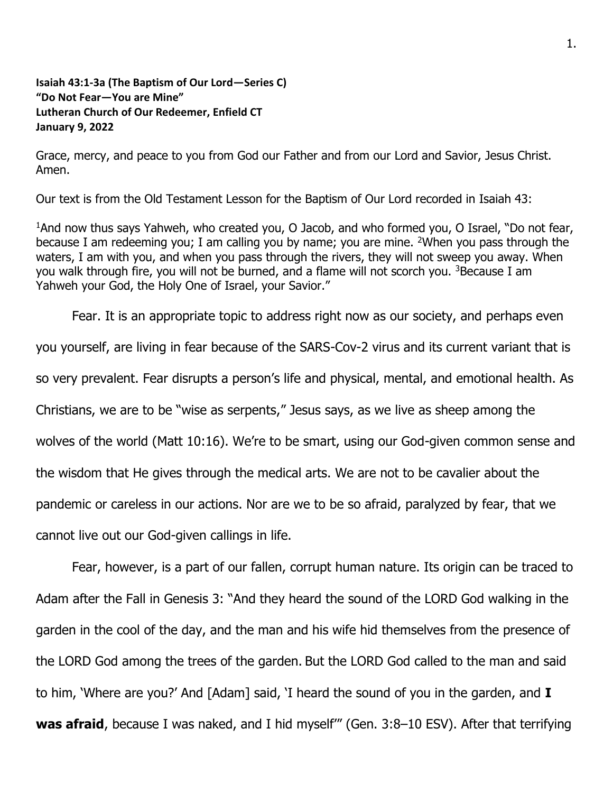## **Isaiah 43:1-3a (The Baptism of Our Lord—Series C) "Do Not Fear—You are Mine" Lutheran Church of Our Redeemer, Enfield CT January 9, 2022**

Grace, mercy, and peace to you from God our Father and from our Lord and Savior, Jesus Christ. Amen.

Our text is from the Old Testament Lesson for the Baptism of Our Lord recorded in Isaiah 43:

<sup>1</sup>And now thus says Yahweh, who created you, O Jacob, and who formed you, O Israel, "Do not fear, because I am redeeming you; I am calling you by name; you are mine. <sup>2</sup>When you pass through the waters, I am with you, and when you pass through the rivers, they will not sweep you away. When you walk through fire, you will not be burned, and a flame will not scorch you. <sup>3</sup>Because I am Yahweh your God, the Holy One of Israel, your Savior."

Fear. It is an appropriate topic to address right now as our society, and perhaps even you yourself, are living in fear because of the SARS-Cov-2 virus and its current variant that is so very prevalent. Fear disrupts a person's life and physical, mental, and emotional health. As Christians, we are to be "wise as serpents," Jesus says, as we live as sheep among the wolves of the world (Matt 10:16). We're to be smart, using our God-given common sense and the wisdom that He gives through the medical arts. We are not to be cavalier about the pandemic or careless in our actions. Nor are we to be so afraid, paralyzed by fear, that we cannot live out our God-given callings in life.

Fear, however, is a part of our fallen, corrupt human nature. Its origin can be traced to Adam after the Fall in Genesis 3: "And they heard the sound of the LORD God walking in the garden in the cool of the day, and the man and his wife hid themselves from the presence of the LORD God among the trees of the garden. But the LORD God called to the man and said to him, 'Where are you?' And [Adam] said, 'I heard the sound of you in the garden, and **I was afraid**, because I was naked, and I hid myself'" (Gen. 3:8–10 ESV). After that terrifying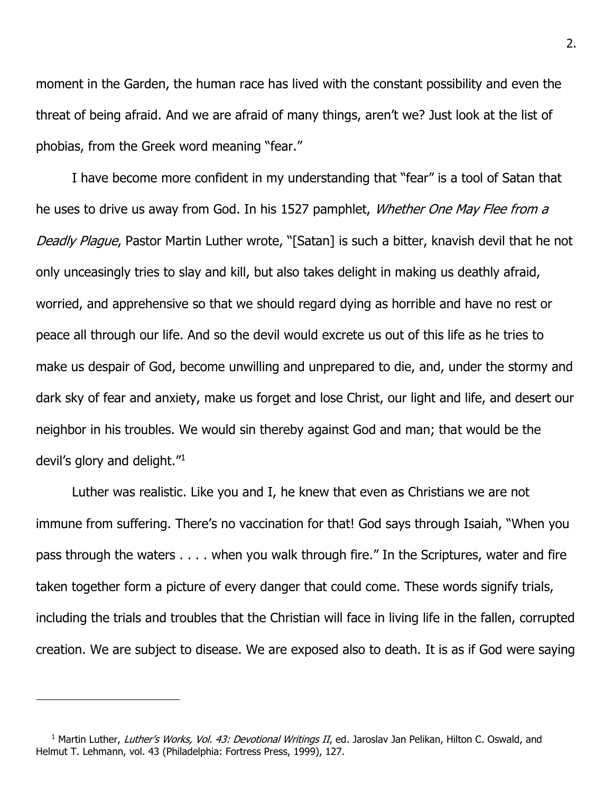moment in the Garden, the human race has lived with the constant possibility and even the threat of being afraid. And we are afraid of many things, aren't we? Just look at the list of phobias, from the Greek word meaning "fear."

I have become more confident in my understanding that "fear" is a tool of Satan that he uses to drive us away from God. In his 1527 pamphlet, *Whether One May Flee from a* Deadly Plague, Pastor Martin Luther wrote, "[Satan] is such a bitter, knavish devil that he not only unceasingly tries to slay and kill, but also takes delight in making us deathly afraid, worried, and apprehensive so that we should regard dying as horrible and have no rest or peace all through our life. And so the devil would excrete us out of this life as he tries to make us despair of God, become unwilling and unprepared to die, and, under the stormy and dark sky of fear and anxiety, make us forget and lose Christ, our light and life, and desert our neighbor in his troubles. We would sin thereby against God and man; that would be the devil's glory and delight. $^{\prime\prime}$ <sup>1</sup>

Luther was realistic. Like you and I, he knew that even as Christians we are not immune from suffering. There's no vaccination for that! God says through Isaiah, "When you pass through the waters . . . . when you walk through fire." In the Scriptures, water and fire taken together form a picture of every danger that could come. These words signify trials, including the trials and troubles that the Christian will face in living life in the fallen, corrupted creation. We are subject to disease. We are exposed also to death. It is as if God were saying

<sup>&</sup>lt;sup>1</sup> Martin Luther, Luther's Works, Vol. 43: Devotional Writings II, ed. Jaroslav Jan Pelikan, Hilton C. Oswald, and Helmut T. Lehmann, vol. 43 (Philadelphia: Fortress Press, 1999), 127.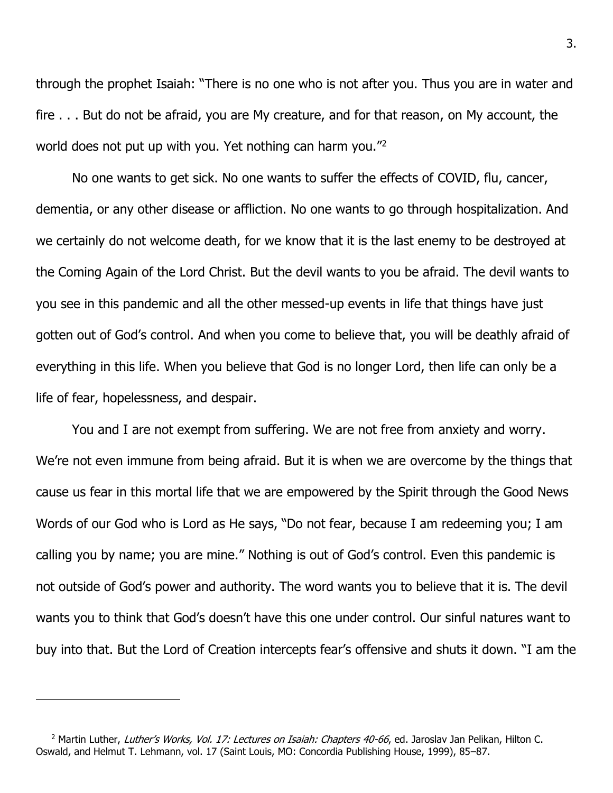through the prophet Isaiah: "There is no one who is not after you. Thus you are in water and fire . . . But do not be afraid, you are My creature, and for that reason, on My account, the world does not put up with you. Yet nothing can harm you."<sup>2</sup>

No one wants to get sick. No one wants to suffer the effects of COVID, flu, cancer, dementia, or any other disease or affliction. No one wants to go through hospitalization. And we certainly do not welcome death, for we know that it is the last enemy to be destroyed at the Coming Again of the Lord Christ. But the devil wants to you be afraid. The devil wants to you see in this pandemic and all the other messed-up events in life that things have just gotten out of God's control. And when you come to believe that, you will be deathly afraid of everything in this life. When you believe that God is no longer Lord, then life can only be a life of fear, hopelessness, and despair.

You and I are not exempt from suffering. We are not free from anxiety and worry. We're not even immune from being afraid. But it is when we are overcome by the things that cause us fear in this mortal life that we are empowered by the Spirit through the Good News Words of our God who is Lord as He says, "Do not fear, because I am redeeming you; I am calling you by name; you are mine." Nothing is out of God's control. Even this pandemic is not outside of God's power and authority. The word wants you to believe that it is. The devil wants you to think that God's doesn't have this one under control. Our sinful natures want to buy into that. But the Lord of Creation intercepts fear's offensive and shuts it down. "I am the

<sup>&</sup>lt;sup>2</sup> Martin Luther, Luther's Works, Vol. 17: Lectures on Isaiah: Chapters 40-66, ed. Jaroslav Jan Pelikan, Hilton C. Oswald, and Helmut T. Lehmann, vol. 17 (Saint Louis, MO: Concordia Publishing House, 1999), 85–87.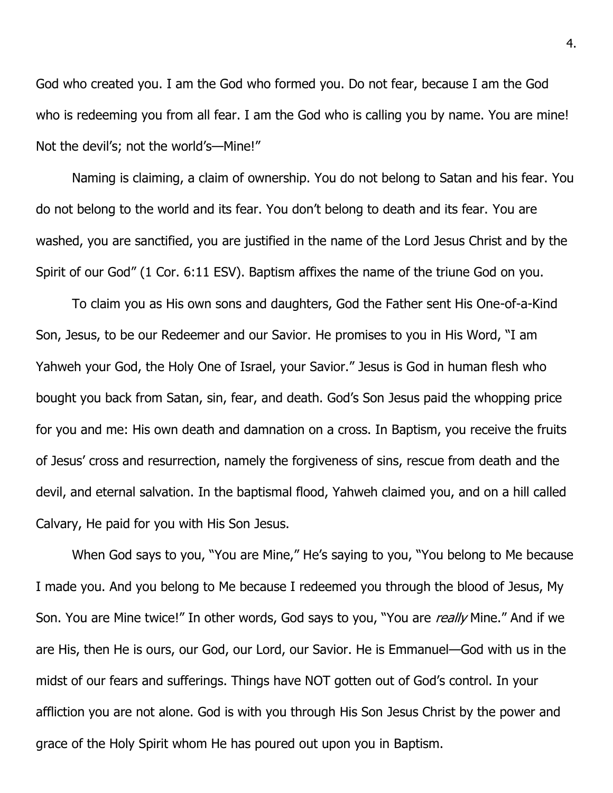God who created you. I am the God who formed you. Do not fear, because I am the God who is redeeming you from all fear. I am the God who is calling you by name. You are mine! Not the devil's; not the world's—Mine!"

Naming is claiming, a claim of ownership. You do not belong to Satan and his fear. You do not belong to the world and its fear. You don't belong to death and its fear. You are washed, you are sanctified, you are justified in the name of the Lord Jesus Christ and by the Spirit of our God" (1 Cor. 6:11 ESV). Baptism affixes the name of the triune God on you.

To claim you as His own sons and daughters, God the Father sent His One-of-a-Kind Son, Jesus, to be our Redeemer and our Savior. He promises to you in His Word, "I am Yahweh your God, the Holy One of Israel, your Savior." Jesus is God in human flesh who bought you back from Satan, sin, fear, and death. God's Son Jesus paid the whopping price for you and me: His own death and damnation on a cross. In Baptism, you receive the fruits of Jesus' cross and resurrection, namely the forgiveness of sins, rescue from death and the devil, and eternal salvation. In the baptismal flood, Yahweh claimed you, and on a hill called Calvary, He paid for you with His Son Jesus.

When God says to you, "You are Mine," He's saying to you, "You belong to Me because I made you. And you belong to Me because I redeemed you through the blood of Jesus, My Son. You are Mine twice!" In other words, God says to you, "You are really Mine." And if we are His, then He is ours, our God, our Lord, our Savior. He is Emmanuel—God with us in the midst of our fears and sufferings. Things have NOT gotten out of God's control. In your affliction you are not alone. God is with you through His Son Jesus Christ by the power and grace of the Holy Spirit whom He has poured out upon you in Baptism.